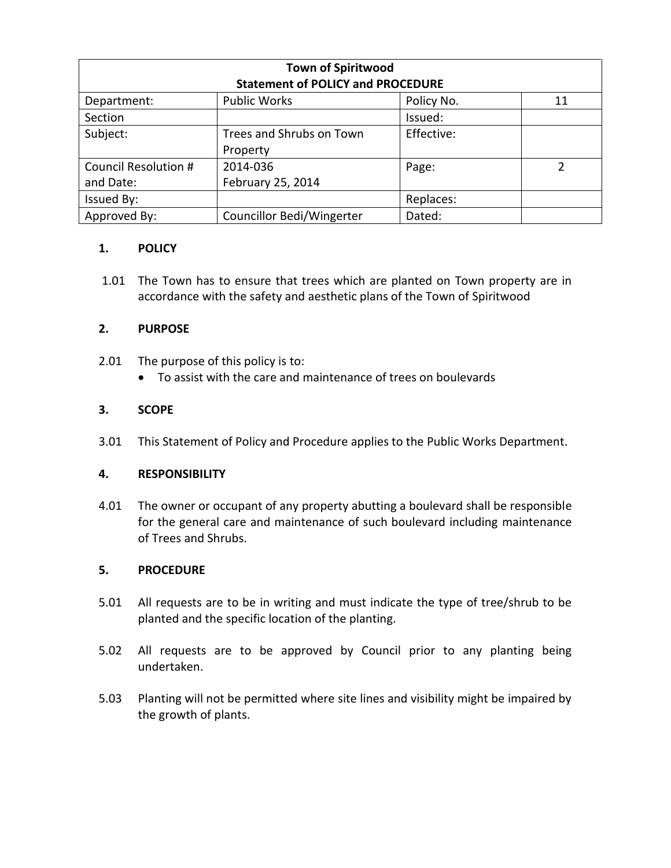| <b>Town of Spiritwood</b>                |                           |            |               |
|------------------------------------------|---------------------------|------------|---------------|
| <b>Statement of POLICY and PROCEDURE</b> |                           |            |               |
| Department:                              | <b>Public Works</b>       | Policy No. | 11            |
| Section                                  |                           | Issued:    |               |
| Subject:                                 | Trees and Shrubs on Town  | Effective: |               |
|                                          | Property                  |            |               |
| Council Resolution #                     | 2014-036                  | Page:      | $\mathcal{P}$ |
| and Date:                                | February 25, 2014         |            |               |
| Issued By:                               |                           | Replaces:  |               |
| Approved By:                             | Councillor Bedi/Wingerter | Dated:     |               |

# **1. POLICY**

1.01 The Town has to ensure that trees which are planted on Town property are in accordance with the safety and aesthetic plans of the Town of Spiritwood

# **2. PURPOSE**

- 2.01 The purpose of this policy is to:
	- To assist with the care and maintenance of trees on boulevards

# **3. SCOPE**

3.01 This Statement of Policy and Procedure applies to the Public Works Department.

### **4. RESPONSIBILITY**

4.01 The owner or occupant of any property abutting a boulevard shall be responsible for the general care and maintenance of such boulevard including maintenance of Trees and Shrubs.

### **5. PROCEDURE**

- 5.01 All requests are to be in writing and must indicate the type of tree/shrub to be planted and the specific location of the planting.
- 5.02 All requests are to be approved by Council prior to any planting being undertaken.
- 5.03 Planting will not be permitted where site lines and visibility might be impaired by the growth of plants.